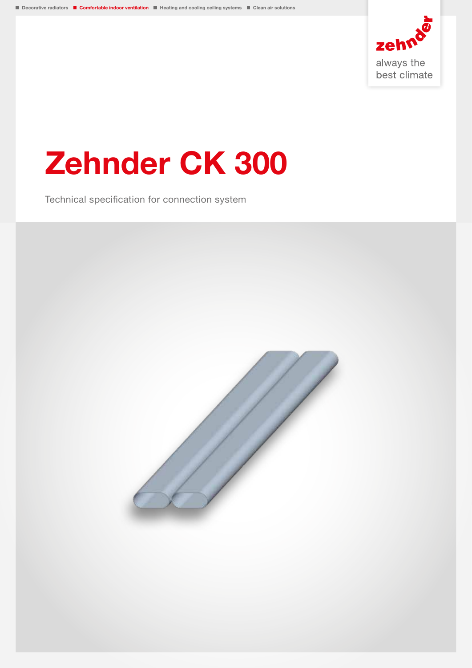

# Zehnder CK 300

Technical specification for connection system

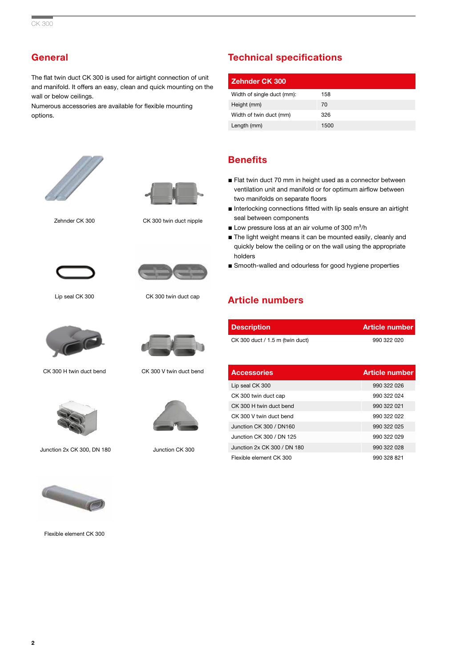# **General**

The flat twin duct CK 300 is used for airtight connection of unit and manifold. It offers an easy, clean and quick mounting on the wall or below ceilings.

Numerous accessories are available for flexible mounting options.





Zehnder CK 300 CK 300 twin duct nipple





Lip seal CK 300 CK 300 twin duct cap



CK 300 H twin duct bend CK 300 V twin duct bend



Junction 2x CK 300, DN 180





Junction CK 300

# Technical specifications

| <b>Zehnder CK 300</b>      |      |
|----------------------------|------|
| Width of single duct (mm): | 158  |
| Height (mm)                | 70   |
| Width of twin duct (mm)    | 326  |
| Length (mm)                | 1500 |

# **Benefits**

- Flat twin duct 70 mm in height used as a connector between ventilation unit and manifold or for optimum airflow between two manifolds on separate floors
- Interlocking connections fitted with lip seals ensure an airtight seal between components
- **Low pressure loss at an air volume of 300 m<sup>3</sup>/h**
- The light weight means it can be mounted easily, cleanly and quickly below the ceiling or on the wall using the appropriate holders
- Smooth-walled and odourless for good hygiene properties

# Article numbers

| <b>Description</b>              | <b>Article number</b> |
|---------------------------------|-----------------------|
| CK 300 duct / 1.5 m (twin duct) | 990 322 020           |

| <b>Accessories</b>          | <b>Article number</b> |
|-----------------------------|-----------------------|
| Lip seal CK 300             | 990 322 026           |
| CK 300 twin duct cap        | 990 322 024           |
| CK 300 H twin duct bend     | 990 322 021           |
| CK 300 V twin duct bend     | 990 322 022           |
| Junction CK 300 / DN160     | 990 322 025           |
| Junction CK 300 / DN 125    | 990 322 029           |
| Junction 2x CK 300 / DN 180 | 990 322 028           |
| Flexible element CK 300     | 990 328 821           |



Flexible element CK 300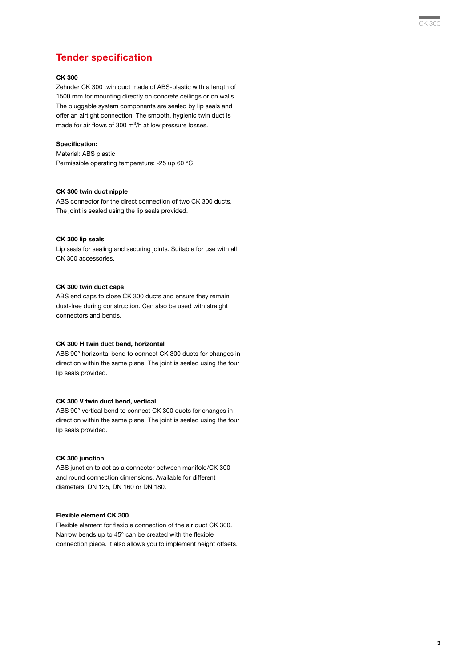## Tender specification

## CK 300

Zehnder CK 300 twin duct made of ABS-plastic with a length of 1500 mm for mounting directly on concrete ceilings or on walls. The pluggable system componants are sealed by lip seals and offer an airtight connection. The smooth, hygienic twin duct is made for air flows of 300 m<sup>3</sup>/h at low pressure losses.

## Specification:

Material: ABS plastic Permissible operating temperature: -25 up 60 °C

#### CK 300 twin duct nipple

ABS connector for the direct connection of two CK 300 ducts. The joint is sealed using the lip seals provided.

## CK 300 lip seals

Lip seals for sealing and securing joints. Suitable for use with all CK 300 accessories.

#### CK 300 twin duct caps

ABS end caps to close CK 300 ducts and ensure they remain dust-free during construction. Can also be used with straight connectors and bends.

## CK 300 H twin duct bend, horizontal

ABS 90° horizontal bend to connect CK 300 ducts for changes in direction within the same plane. The joint is sealed using the four lip seals provided.

#### CK 300 V twin duct bend, vertical

ABS 90° vertical bend to connect CK 300 ducts for changes in direction within the same plane. The joint is sealed using the four lip seals provided.

## CK 300 junction

ABS junction to act as a connector between manifold/CK 300 and round connection dimensions. Available for different diameters: DN 125, DN 160 or DN 180.

## Flexible element CK 300

Flexible element for flexible connection of the air duct CK 300. Narrow bends up to 45° can be created with the flexible connection piece. It also allows you to implement height offsets.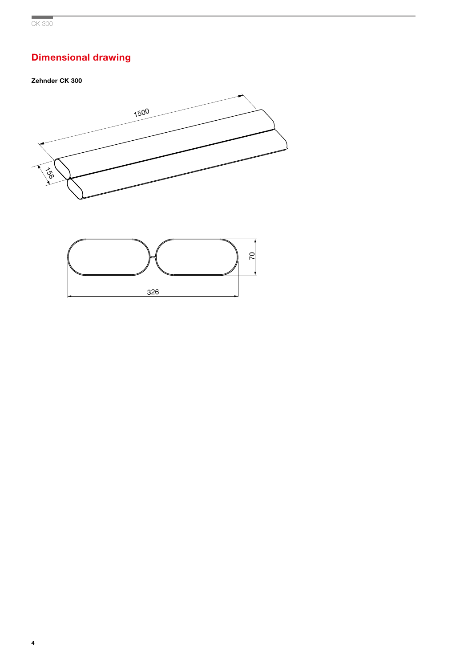# Dimensional drawing

## Zehnder CK 300



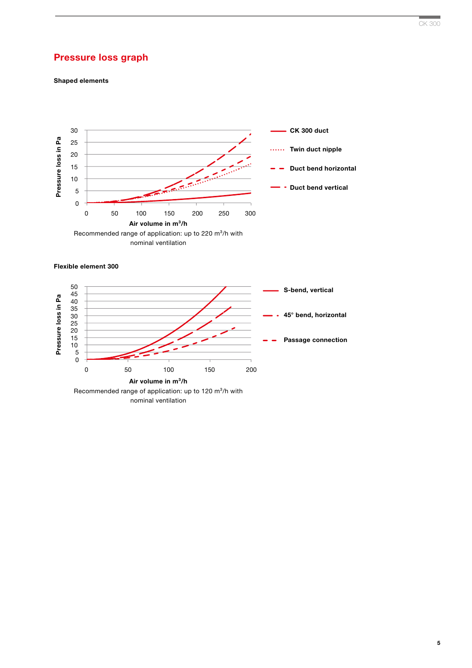# Pressure loss graph

Shaped elements





nominal ventilation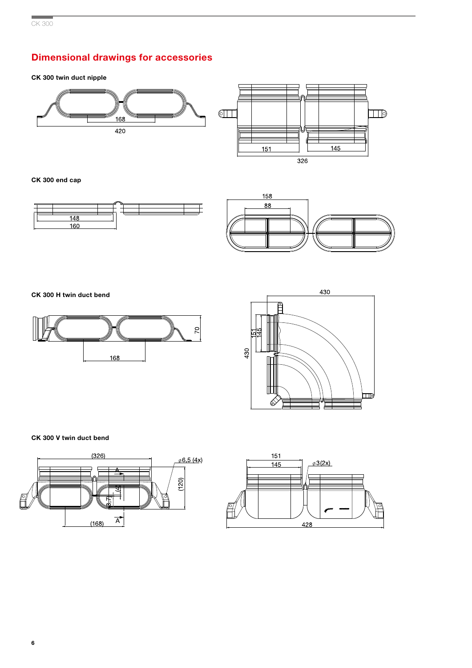# Dimensional drawings for accessories

CK 300 twin duct nipple



CK 300 end cap





CK 300 H twin duct bend





CK 300 V twin duct bend



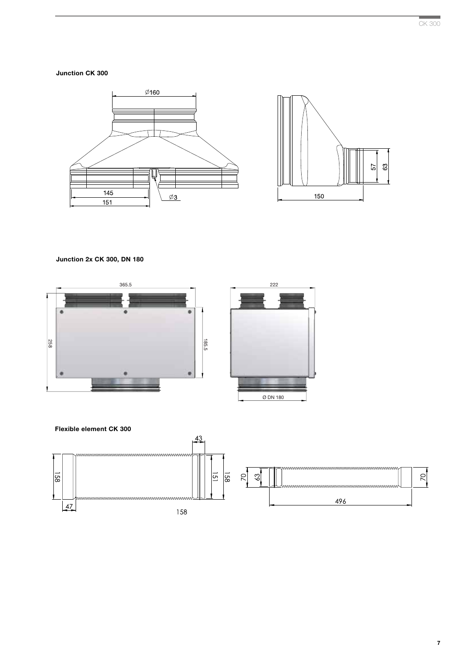Junction CK 300



## Junction 2x CK 300, DN 180